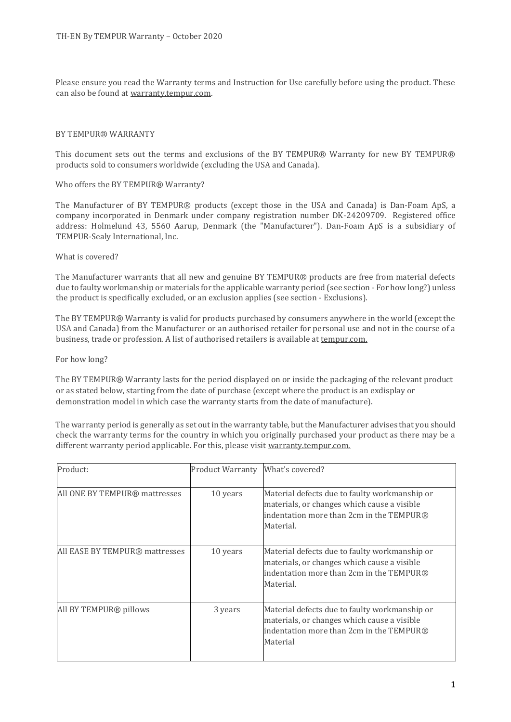Please ensure you read the Warranty terms and Instruction for Use carefully before using the product. These can also be found at warranty.tempur.com.

#### BY TEMPUR® WARRANTY

This document sets out the terms and exclusions of the BY TEMPUR® Warranty for new BY TEMPUR® products sold to consumers worldwide (excluding the USA and Canada).

Who offers the BY TEMPUR® Warranty?

The Manufacturer of BY TEMPUR® products (except those in the USA and Canada) is Dan-Foam ApS, a company incorporated in Denmark under company registration number DK-24209709. Registered office address: Holmelund 43, 5560 Aarup, Denmark (the "Manufacturer"). Dan-Foam ApS is a subsidiary of TEMPUR-Sealy International, Inc.

#### What is covered?

The Manufacturer warrants that all new and genuine BY TEMPUR® products are free from material defects due to faulty workmanship or materials for the applicable warranty period (see section - For how long?) unless the product is specifically excluded, or an exclusion applies (see section - Exclusions).

The BY TEMPUR® Warranty is valid for products purchased by consumers anywhere in the world (except the USA and Canada) from the Manufacturer or an authorised retailer for personal use and not in the course of a business, trade or profession. A list of authorised retailers is available at tempur.com.

For how long?

The BY TEMPUR® Warranty lasts for the period displayed on or inside the packaging of the relevant product or as stated below, starting from the date of purchase (except where the product is an exdisplay or demonstration model in which case the warranty starts from the date of manufacture).

The warranty period is generally as set out in the warranty table, but the Manufacturer advises that you should check the warranty terms for the country in which you originally purchased your product as there may be a different warranty period applicable. For this, please visit warranty.tempur.com.

| Product:                       | <b>Product Warranty</b> | What's covered?                                                                                                                                       |
|--------------------------------|-------------------------|-------------------------------------------------------------------------------------------------------------------------------------------------------|
| All ONE BY TEMPUR® mattresses  | 10 years                | Material defects due to faulty workmanship or<br>materials, or changes which cause a visible<br>indentation more than 2cm in the TEMPUR®<br>Material. |
| All EASE BY TEMPUR® mattresses | 10 years                | Material defects due to faulty workmanship or<br>materials, or changes which cause a visible<br>indentation more than 2cm in the TEMPUR®<br>Material. |
| All BY TEMPUR® pillows         | 3 years                 | Material defects due to faulty workmanship or<br>materials, or changes which cause a visible<br>indentation more than 2cm in the TEMPUR®<br>Material  |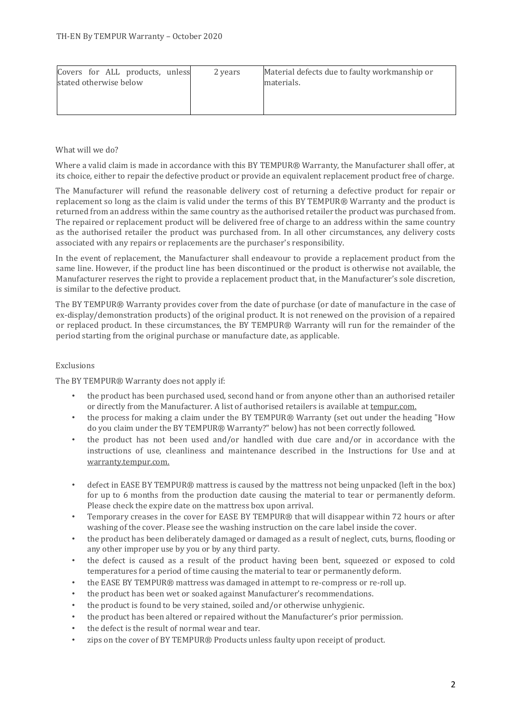| Covers for ALL products, unless<br>stated otherwise below | 2 years | Material defects due to faulty workmanship or<br>materials. |
|-----------------------------------------------------------|---------|-------------------------------------------------------------|
|-----------------------------------------------------------|---------|-------------------------------------------------------------|

# What will we do?

Where a valid claim is made in accordance with this BY TEMPUR® Warranty, the Manufacturer shall offer, at its choice, either to repair the defective product or provide an equivalent replacement product free of charge.

The Manufacturer will refund the reasonable delivery cost of returning a defective product for repair or replacement so long as the claim is valid under the terms of this BY TEMPUR® Warranty and the product is returned from an address within the same country as the authorised retailer the product was purchased from. The repaired or replacement product will be delivered free of charge to an address within the same country as the authorised retailer the product was purchased from. In all other circumstances, any delivery costs associated with any repairs or replacements are the purchaser's responsibility.

In the event of replacement, the Manufacturer shall endeavour to provide a replacement product from the same line. However, if the product line has been discontinued or the product is otherwise not available, the Manufacturer reserves the right to provide a replacement product that, in the Manufacturer's sole discretion, is similar to the defective product.

The BY TEMPUR® Warranty provides cover from the date of purchase (or date of manufacture in the case of ex-display/demonstration products) of the original product. It is not renewed on the provision of a repaired or replaced product. In these circumstances, the BY TEMPUR® Warranty will run for the remainder of the period starting from the original purchase or manufacture date, as applicable.

## Exclusions

The BY TEMPUR® Warranty does not apply if:

- the product has been purchased used, second hand or from anyone other than an authorised retailer or directly from the Manufacturer. A list of authorised retailers is available at tempur.com.
- the process for making a claim under the BY TEMPUR® Warranty (set out under the heading "How do you claim under the BY TEMPUR® Warranty?" below) has not been correctly followed.
- the product has not been used and/or handled with due care and/or in accordance with the instructions of use, cleanliness and maintenance described in the Instructions for Use and at warranty.tempur.com.
- defect in EASE BY TEMPUR® mattress is caused by the mattress not being unpacked (left in the box) for up to 6 months from the production date causing the material to tear or permanently deform. Please check the expire date on the mattress box upon arrival.
- Temporary creases in the cover for EASE BY TEMPUR® that will disappear within 72 hours or after washing of the cover. Please see the washing instruction on the care label inside the cover.
- the product has been deliberately damaged or damaged as a result of neglect, cuts, burns, flooding or any other improper use by you or by any third party.
- the defect is caused as a result of the product having been bent, squeezed or exposed to cold temperatures for a period of time causing the material to tear or permanently deform.
- the EASE BY TEMPUR® mattress was damaged in attempt to re-compress or re-roll up.
- the product has been wet or soaked against Manufacturer's recommendations.
- the product is found to be very stained, soiled and/or otherwise unhygienic.
- the product has been altered or repaired without the Manufacturer's prior permission.
- the defect is the result of normal wear and tear.
- zips on the cover of BY TEMPUR® Products unless faulty upon receipt of product.